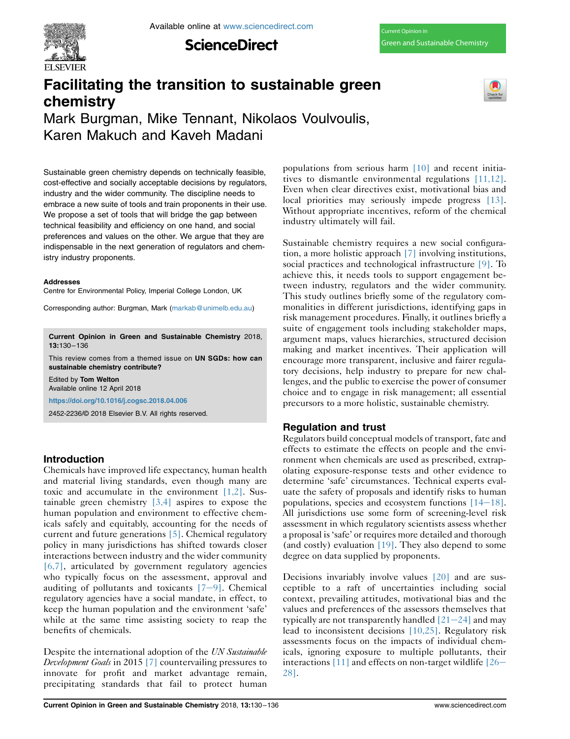**ScienceDirect** 



# Facilitating the transition to sustainable green chemistry



Mark Burgman, Mike Tennant, Nikolaos Voulvoulis, Karen Makuch and Kaveh Madani

Sustainable green chemistry depends on technically feasible, cost-effective and socially acceptable decisions by regulators, industry and the wider community. The discipline needs to embrace a new suite of tools and train proponents in their use. We propose a set of tools that will bridge the gap between technical feasibility and efficiency on one hand, and social preferences and values on the other. We argue that they are indispensable in the next generation of regulators and chemistry industry proponents.

#### **Addresses**

Centre for Environmental Policy, Imperial College London, UK

Corresponding author: Burgman, Mark ([markab@unimelb.edu.au\)](mailto:markab@unimelb.edu.au)

Current Opinion in Green and Sustainable Chemistry 2018, 13:130–136

This review comes from a themed issue on UN SGDs: how can sustainable chemistry contribute?

Edited by Tom Welton

Available online 12 April 2018

<https://doi.org/10.1016/j.cogsc.2018.04.006>

2452-2236/© 2018 Elsevier B.V. All rights reserved.

# Introduction

Chemicals have improved life expectancy, human health and material living standards, even though many are toxic and accumulate in the environment [\[1,2\].](#page-5-0) Sustainable green chemistry  $[3,4]$  aspires to expose the human population and environment to effective chemicals safely and equitably, accounting for the needs of current and future generations [\[5\].](#page-5-0) Chemical regulatory policy in many jurisdictions has shifted towards closer interactions between industry and the wider community [\[6,7\]](#page-5-0), articulated by government regulatory agencies who typically focus on the assessment, approval and auditing of pollutants and toxicants  $[7-9]$  $[7-9]$ . Chemical regulatory agencies have a social mandate, in effect, to keep the human population and the environment 'safe' while at the same time assisting society to reap the benefits of chemicals.

Despite the international adoption of the UN Sustainable Development Goals in 2015 [\[7\]](#page-5-0) countervailing pressures to innovate for profit and market advantage remain, precipitating standards that fail to protect human populations from serious harm [\[10\]](#page-5-0) and recent initiatives to dismantle environmental regulations [\[11,12\].](#page-5-0) Even when clear directives exist, motivational bias and local priorities may seriously impede progress [\[13\].](#page-5-0) Without appropriate incentives, reform of the chemical industry ultimately will fail.

Sustainable chemistry requires a new social configuration, a more holistic approach [\[7\]](#page-5-0) involving institutions, social practices and technological infrastructure [\[9\]](#page-5-0). To achieve this, it needs tools to support engagement between industry, regulators and the wider community. This study outlines briefly some of the regulatory commonalities in different jurisdictions, identifying gaps in risk management procedures. Finally, it outlines briefly a suite of engagement tools including stakeholder maps, argument maps, values hierarchies, structured decision making and market incentives. Their application will encourage more transparent, inclusive and fairer regulatory decisions, help industry to prepare for new challenges, and the public to exercise the power of consumer choice and to engage in risk management; all essential precursors to a more holistic, sustainable chemistry.

# Regulation and trust

Regulators build conceptual models of transport, fate and effects to estimate the effects on people and the environment when chemicals are used as prescribed, extrapolating exposure-response tests and other evidence to determine 'safe' circumstances. Technical experts evaluate the safety of proposals and identify risks to human populations, species and ecosystem functions  $[14-18]$  $[14-18]$ . All jurisdictions use some form of screening-level risk assessment in which regulatory scientists assess whether a proposal is 'safe' or requires more detailed and thorough (and costly) evaluation [\[19\]](#page-5-0). They also depend to some degree on data supplied by proponents.

Decisions invariably involve values [\[20\]](#page-5-0) and are susceptible to a raft of uncertainties including social context, prevailing attitudes, motivational bias and the values and preferences of the assessors themselves that typically are not transparently handled  $\left[21-24\right]$  $\left[21-24\right]$  $\left[21-24\right]$  and may lead to inconsistent decisions [\[10,25\]](#page-5-0). Regulatory risk assessments focus on the impacts of individual chemicals, ignoring exposure to multiple pollutants, their interactions  $[11]$  and effects on non-target wildlife  $[26 [26-$ [28\].](#page-5-0)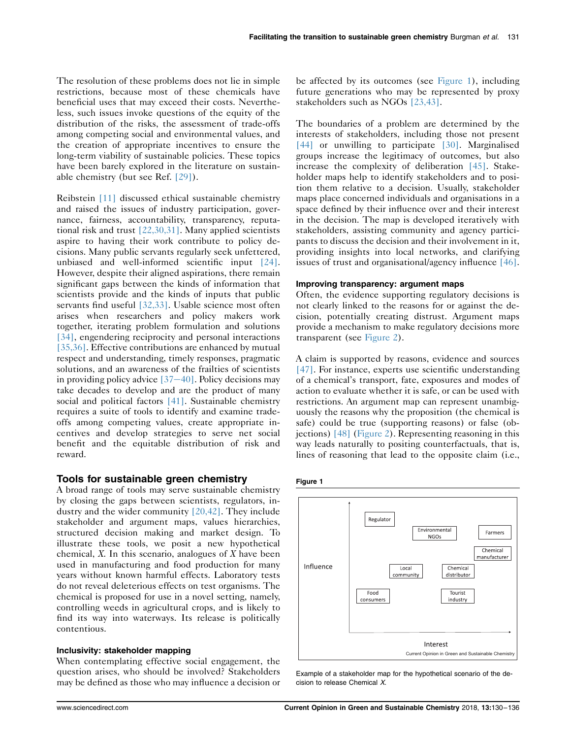The resolution of these problems does not lie in simple restrictions, because most of these chemicals have beneficial uses that may exceed their costs. Nevertheless, such issues invoke questions of the equity of the distribution of the risks, the assessment of trade-offs among competing social and environmental values, and the creation of appropriate incentives to ensure the long-term viability of sustainable policies. These topics have been barely explored in the literature on sustainable chemistry (but see Ref. [\[29\]\)](#page-5-0).

Reibstein [\[11\]](#page-5-0) discussed ethical sustainable chemistry and raised the issues of industry participation, governance, fairness, accountability, transparency, reputational risk and trust [\[22,30,31\]](#page-5-0). Many applied scientists aspire to having their work contribute to policy decisions. Many public servants regularly seek unfettered, unbiased and well-informed scientific input [\[24\].](#page-5-0) However, despite their aligned aspirations, there remain significant gaps between the kinds of information that scientists provide and the kinds of inputs that public servants find useful [\[32,33\].](#page-5-0) Usable science most often arises when researchers and policy makers work together, iterating problem formulation and solutions [\[34\],](#page-5-0) engendering reciprocity and personal interactions [\[35,36\].](#page-5-0) Effective contributions are enhanced by mutual respect and understanding, timely responses, pragmatic solutions, and an awareness of the frailties of scientists in providing policy advice  $[37-40]$  $[37-40]$  $[37-40]$ . Policy decisions may take decades to develop and are the product of many social and political factors [\[41\]](#page-6-0). Sustainable chemistry requires a suite of tools to identify and examine tradeoffs among competing values, create appropriate incentives and develop strategies to serve net social benefit and the equitable distribution of risk and reward.

# Tools for sustainable green chemistry

A broad range of tools may serve sustainable chemistry by closing the gaps between scientists, regulators, industry and the wider community [\[20,42\].](#page-5-0) They include stakeholder and argument maps, values hierarchies, structured decision making and market design. To illustrate these tools, we posit a new hypothetical chemical,  $X$ . In this scenario, analogues of  $X$  have been used in manufacturing and food production for many years without known harmful effects. Laboratory tests do not reveal deleterious effects on test organisms. The chemical is proposed for use in a novel setting, namely, controlling weeds in agricultural crops, and is likely to find its way into waterways. Its release is politically contentious.

### Inclusivity: stakeholder mapping

When contemplating effective social engagement, the question arises, who should be involved? Stakeholders may be defined as those who may influence a decision or be affected by its outcomes (see Figure 1), including future generations who may be represented by proxy stakeholders such as NGOs [\[23,43\].](#page-5-0)

The boundaries of a problem are determined by the interests of stakeholders, including those not present [\[44\]](#page-6-0) or unwilling to participate [\[30\].](#page-5-0) Marginalised groups increase the legitimacy of outcomes, but also increase the complexity of deliberation [\[45\].](#page-6-0) Stakeholder maps help to identify stakeholders and to position them relative to a decision. Usually, stakeholder maps place concerned individuals and organisations in a space defined by their influence over and their interest in the decision. The map is developed iteratively with stakeholders, assisting community and agency participants to discuss the decision and their involvement in it, providing insights into local networks, and clarifying issues of trust and organisational/agency influence [\[46\].](#page-6-0)

#### Improving transparency: argument maps

Often, the evidence supporting regulatory decisions is not clearly linked to the reasons for or against the decision, potentially creating distrust. Argument maps provide a mechanism to make regulatory decisions more transparent (see [Figure 2\)](#page-2-0).

A claim is supported by reasons, evidence and sources [\[47\].](#page-6-0) For instance, experts use scientific understanding of a chemical's transport, fate, exposures and modes of action to evaluate whether it is safe, or can be used with restrictions. An argument map can represent unambiguously the reasons why the proposition (the chemical is safe) could be true (supporting reasons) or false (objections) [\[48\]](#page-6-0) ([Figure 2\)](#page-2-0). Representing reasoning in this way leads naturally to positing counterfactuals, that is, lines of reasoning that lead to the opposite claim (i.e.,





Example of a stakeholder map for the hypothetical scenario of the decision to release Chemical X.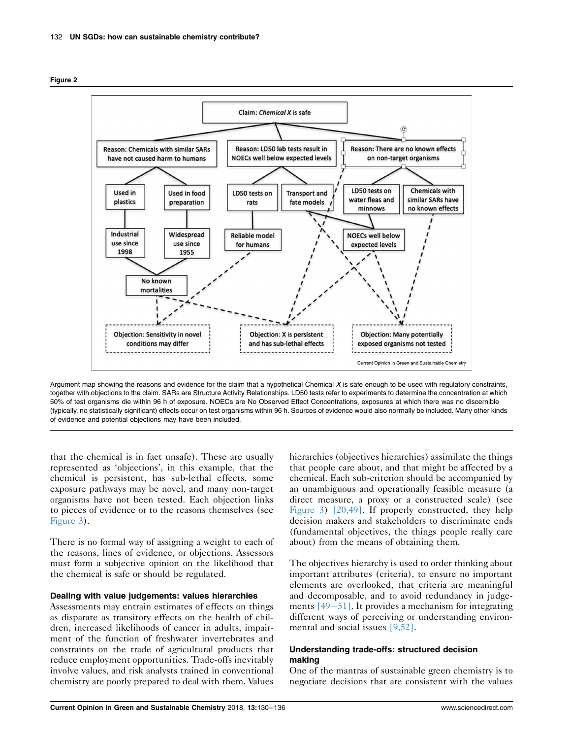<span id="page-2-0"></span>



Argument map showing the reasons and evidence for the claim that a hypothetical Chemical  $X$  is safe enough to be used with regulatory constraints, together with objections to the claim. SARs are Structure Activity Relationships. LD50 tests refer to experiments to determine the concentration at which 50% of test organisms die within 96 h of exposure. NOECs are No Observed Effect Concentrations, exposures at which there was no discernible (typically, no statistically significant) effects occur on test organisms within 96 h. Sources of evidence would also normally be included. Many other kinds of evidence and potential objections may have been included.

that the chemical is in fact unsafe). These are usually represented as 'objections', in this example, that the chemical is persistent, has sub-lethal effects, some exposure pathways may be novel, and many non-target organisms have not been tested. Each objection links to pieces of evidence or to the reasons themselves (see [Figure 3](#page-3-0)).

There is no formal way of assigning a weight to each of the reasons, lines of evidence, or objections. Assessors must form a subjective opinion on the likelihood that the chemical is safe or should be regulated.

### Dealing with value judgements: values hierarchies

Assessments may entrain estimates of effects on things as disparate as transitory effects on the health of children, increased likelihoods of cancer in adults, impairment of the function of freshwater invertebrates and constraints on the trade of agricultural products that reduce employment opportunities. Trade-offs inevitably involve values, and risk analysts trained in conventional chemistry are poorly prepared to deal with them. Values

hierarchies (objectives hierarchies) assimilate the things that people care about, and that might be affected by a chemical. Each sub-criterion should be accompanied by an unambiguous and operationally feasible measure (a direct measure, a proxy or a constructed scale) (see [Figure 3](#page-3-0)) [\[20,49\]](#page-5-0). If properly constructed, they help decision makers and stakeholders to discriminate ends (fundamental objectives, the things people really care about) from the means of obtaining them.

The objectives hierarchy is used to order thinking about important attributes (criteria), to ensure no important elements are overlooked, that criteria are meaningful and decomposable, and to avoid redundancy in judgements  $[49-51]$  $[49-51]$  $[49-51]$ . It provides a mechanism for integrating different ways of perceiving or understanding environmental and social issues [\[9,52\]](#page-5-0).

## Understanding trade-offs: structured decision making

One of the mantras of sustainable green chemistry is to negotiate decisions that are consistent with the values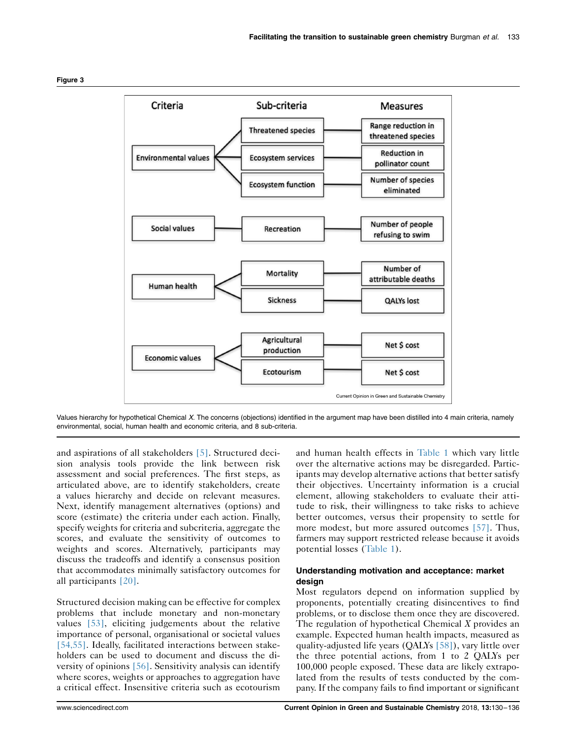

#### <span id="page-3-0"></span>Figure 3

Values hierarchy for hypothetical Chemical X. The concerns (objections) identified in the argument map have been distilled into 4 main criteria, namely environmental, social, human health and economic criteria, and 8 sub-criteria.

and aspirations of all stakeholders [\[5\]](#page-5-0). Structured decision analysis tools provide the link between risk assessment and social preferences. The first steps, as articulated above, are to identify stakeholders, create a values hierarchy and decide on relevant measures. Next, identify management alternatives (options) and score (estimate) the criteria under each action. Finally, specify weights for criteria and subcriteria, aggregate the scores, and evaluate the sensitivity of outcomes to weights and scores. Alternatively, participants may discuss the tradeoffs and identify a consensus position that accommodates minimally satisfactory outcomes for all participants [\[20\].](#page-5-0)

Structured decision making can be effective for complex problems that include monetary and non-monetary values [\[53\]](#page-6-0), eliciting judgements about the relative importance of personal, organisational or societal values [\[54,55\].](#page-6-0) Ideally, facilitated interactions between stakeholders can be used to document and discuss the diversity of opinions [\[56\].](#page-6-0) Sensitivity analysis can identify where scores, weights or approaches to aggregation have a critical effect. Insensitive criteria such as ecotourism

and human health effects in [Table 1](#page-4-0) which vary little over the alternative actions may be disregarded. Participants may develop alternative actions that better satisfy their objectives. Uncertainty information is a crucial element, allowing stakeholders to evaluate their attitude to risk, their willingness to take risks to achieve better outcomes, versus their propensity to settle for more modest, but more assured outcomes [\[57\].](#page-6-0) Thus, farmers may support restricted release because it avoids potential losses [\(Table 1\)](#page-4-0).

## Understanding motivation and acceptance: market design

Most regulators depend on information supplied by proponents, potentially creating disincentives to find problems, or to disclose them once they are discovered. The regulation of hypothetical Chemical X provides an example. Expected human health impacts, measured as quality-adjusted life years (QALYs [\[58\]](#page-6-0)), vary little over the three potential actions, from 1 to 2 QALYs per 100,000 people exposed. These data are likely extrapolated from the results of tests conducted by the company. If the company fails to find important or significant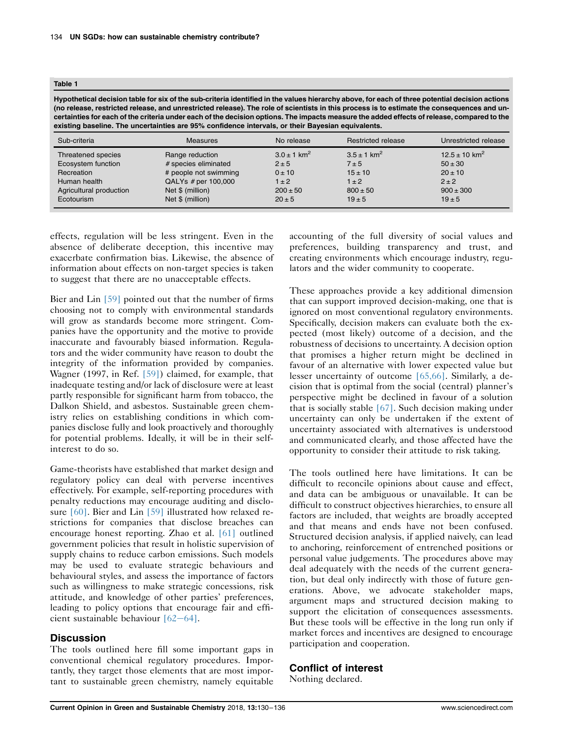| certainties for each of the criteria under each of the decision options. The impacts measure the added effects of release, compared to the<br>existing baseline. The uncertainties are 95% confidence intervals, or their Bayesian equivalents. |                       |                          |                           |                               |
|-------------------------------------------------------------------------------------------------------------------------------------------------------------------------------------------------------------------------------------------------|-----------------------|--------------------------|---------------------------|-------------------------------|
| Sub-criteria                                                                                                                                                                                                                                    | <b>Measures</b>       | No release               | <b>Restricted release</b> | Unrestricted release          |
| Threatened species                                                                                                                                                                                                                              | Range reduction       | $3.0 \pm 1 \text{ km}^2$ | $3.5 \pm 1 \text{ km}^2$  | $12.5 \pm 10$ km <sup>2</sup> |
| Ecosystem function                                                                                                                                                                                                                              | # species eliminated  | $2 \pm 5$                | $7 \pm 5$                 | $50 \pm 30$                   |
| Recreation                                                                                                                                                                                                                                      | # people not swimming | $0 \pm 10$               | $15 \pm 10$               | $20 \pm 10$                   |
| Human health                                                                                                                                                                                                                                    | QALYs # per 100,000   | $1 \pm 2$                | $1 \pm 2$                 | $2 \pm 2$                     |
| Agricultural production                                                                                                                                                                                                                         | Net \$ (million)      | $200 \pm 50$             | $800 \pm 50$              | $900 \pm 300$                 |
| Ecotourism                                                                                                                                                                                                                                      | Net \$ (million)      | $20 \pm 5$               | $19 \pm 5$                | $19 + 5$                      |

<span id="page-4-0"></span>Table 1

Hypothetical decision table for six of the sub-criteria identified in the values hierarchy above, for each of three potential decision actions (no release, restricted release, and unrestricted release). The role of scientists in this process is to estimate the consequences and un-

effects, regulation will be less stringent. Even in the absence of deliberate deception, this incentive may exacerbate confirmation bias. Likewise, the absence of information about effects on non-target species is taken to suggest that there are no unacceptable effects.

Bier and Lin [\[59\]](#page-6-0) pointed out that the number of firms choosing not to comply with environmental standards will grow as standards become more stringent. Companies have the opportunity and the motive to provide inaccurate and favourably biased information. Regulators and the wider community have reason to doubt the integrity of the information provided by companies. Wagner (1997, in Ref. [\[59\]\)](#page-6-0) claimed, for example, that inadequate testing and/or lack of disclosure were at least partly responsible for significant harm from tobacco, the Dalkon Shield, and asbestos. Sustainable green chemistry relies on establishing conditions in which companies disclose fully and look proactively and thoroughly for potential problems. Ideally, it will be in their selfinterest to do so.

Game-theorists have established that market design and regulatory policy can deal with perverse incentives effectively. For example, self-reporting procedures with penalty reductions may encourage auditing and disclo-sure [\[60\].](#page-6-0) Bier and Lin [\[59\]](#page-6-0) illustrated how relaxed restrictions for companies that disclose breaches can encourage honest reporting. Zhao et al. [\[61\]](#page-6-0) outlined government policies that result in holistic supervision of supply chains to reduce carbon emissions. Such models may be used to evaluate strategic behaviours and behavioural styles, and assess the importance of factors such as willingness to make strategic concessions, risk attitude, and knowledge of other parties' preferences, leading to policy options that encourage fair and efficient sustainable behaviour  $[62-64]$  $[62-64]$  $[62-64]$ .

## **Discussion**

The tools outlined here fill some important gaps in conventional chemical regulatory procedures. Importantly, they target those elements that are most important to sustainable green chemistry, namely equitable accounting of the full diversity of social values and preferences, building transparency and trust, and creating environments which encourage industry, regulators and the wider community to cooperate.

These approaches provide a key additional dimension that can support improved decision-making, one that is ignored on most conventional regulatory environments. Specifically, decision makers can evaluate both the expected (most likely) outcome of a decision, and the robustness of decisions to uncertainty. A decision option that promises a higher return might be declined in favour of an alternative with lower expected value but lesser uncertainty of outcome [\[65,66\].](#page-6-0) Similarly, a decision that is optimal from the social (central) planner's perspective might be declined in favour of a solution that is socially stable [\[67\].](#page-6-0) Such decision making under uncertainty can only be undertaken if the extent of uncertainty associated with alternatives is understood and communicated clearly, and those affected have the opportunity to consider their attitude to risk taking.

The tools outlined here have limitations. It can be difficult to reconcile opinions about cause and effect, and data can be ambiguous or unavailable. It can be difficult to construct objectives hierarchies, to ensure all factors are included, that weights are broadly accepted and that means and ends have not been confused. Structured decision analysis, if applied naively, can lead to anchoring, reinforcement of entrenched positions or personal value judgements. The procedures above may deal adequately with the needs of the current generation, but deal only indirectly with those of future generations. Above, we advocate stakeholder maps, argument maps and structured decision making to support the elicitation of consequences assessments. But these tools will be effective in the long run only if market forces and incentives are designed to encourage participation and cooperation.

# Conflict of interest

Nothing declared.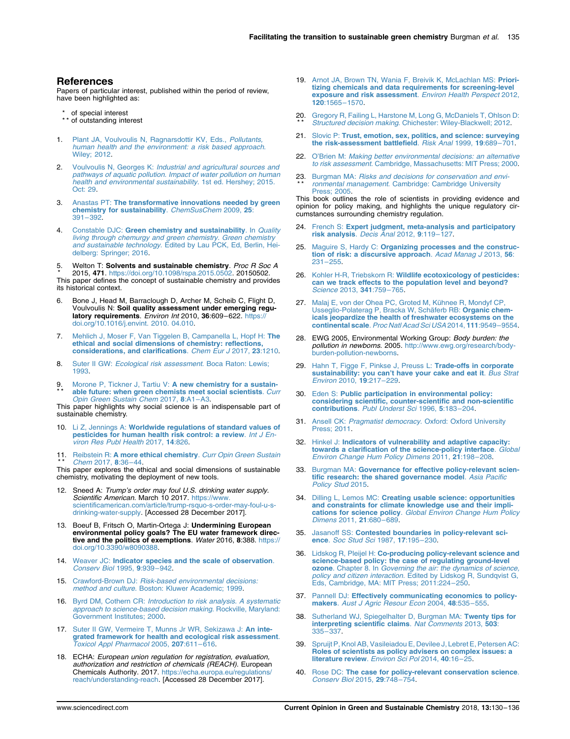#### <span id="page-5-0"></span>References

Papers of particular interest, published within the period of review, have been highlighted as:

- of special interest
- \*\* of outstanding interest
- [Plant JA, Voulvoulis N, Ragnarsdottir KV, Eds.,](http://refhub.elsevier.com/S2452-2236(18)30019-1/sref1) Pollutants, [human health and the environment: a risk based approach](http://refhub.elsevier.com/S2452-2236(18)30019-1/sref1). [Wiley; 2012.](http://refhub.elsevier.com/S2452-2236(18)30019-1/sref1)
- 2. Voulvoulis N, Georges K: [Industrial and agricultural sources and](http://refhub.elsevier.com/S2452-2236(18)30019-1/sref2) [pathways of aquatic pollution. Impact of water pollution on human](http://refhub.elsevier.com/S2452-2236(18)30019-1/sref2) [health and environmental sustainability](http://refhub.elsevier.com/S2452-2236(18)30019-1/sref2). 1st ed. Hershey; 2015. [Oct: 29](http://refhub.elsevier.com/S2452-2236(18)30019-1/sref2).
- 3. Anastas PT: [The transformative innovations needed by green](http://refhub.elsevier.com/S2452-2236(18)30019-1/sref3) [chemistry for sustainability](http://refhub.elsevier.com/S2452-2236(18)30019-1/sref3). ChemSusChem 2009, 25: [391](http://refhub.elsevier.com/S2452-2236(18)30019-1/sref3)–392.
- Constable DJC: [Green chemistry and sustainability](http://refhub.elsevier.com/S2452-2236(18)30019-1/sref4). In Quality [living through chemurgy and green chemistry. Green chemistry](http://refhub.elsevier.com/S2452-2236(18)30019-1/sref4) and sustainable technology[. Edited by Lau PCK, Ed, Berlin, Hei](http://refhub.elsevier.com/S2452-2236(18)30019-1/sref4)[delberg: Springer; 2016](http://refhub.elsevier.com/S2452-2236(18)30019-1/sref4).
- 5 Welton T: Solvents and sustainable chemistry. Proc R Soc A

\* 2015, 471. [https://doi.org/10.1098/rspa.2015.0502.](https://doi.org/10.1098/rspa.2015.0502) 20150502. This paper defines the concept of sustainable chemistry and provides its historical context.

- 6. Bone J, Head M, Barraclough D, Archer M, Scheib C, Flight D, Voulvoulis N: Soil quality assessment under emerging regulatory requirements. Environ Int 2010, 36:609-622. [https://](https://doi.org/10.1016/j.envint. 2010. 04.010) [doi.org/10.1016/j.envint. 2010. 04.010](https://doi.org/10.1016/j.envint. 2010. 04.010).
- 7. [Mehlich J, Moser F, Van Tiggelen B, Campanella L, Hopf H:](http://refhub.elsevier.com/S2452-2236(18)30019-1/sref7) The [ethical and social dimensions of chemistry: reflections,](http://refhub.elsevier.com/S2452-2236(18)30019-1/sref7) [considerations, and clarifications](http://refhub.elsevier.com/S2452-2236(18)30019-1/sref7). Chem Eur J 2017, 23:1210.
- 8. Suter II GW: [Ecological risk assessment](http://refhub.elsevier.com/S2452-2236(18)30019-1/sref8). Boca Raton: Lewis; [1993](http://refhub.elsevier.com/S2452-2236(18)30019-1/sref8).
- 9. \* \* Morone P, Tickner J, Tartiu V: [A new chemistry for a sustain](http://refhub.elsevier.com/S2452-2236(18)30019-1/sref9)[able future: when green chemists meet social scientists](http://refhub.elsevier.com/S2452-2236(18)30019-1/sref9). Curr<br>[Opin Green Sustain Chem](http://refhub.elsevier.com/S2452-2236(18)30019-1/sref9) 2017, 8:A1-A3.

This paper highlights why social science is an indispensable part of sustainable chemistry.

- 10. Li Z, Jennings A: [Worldwide regulations of standard values of](http://refhub.elsevier.com/S2452-2236(18)30019-1/sref10) [pesticides for human health risk control: a review](http://refhub.elsevier.com/S2452-2236(18)30019-1/sref10). Int J En[viron Res Publ Health](http://refhub.elsevier.com/S2452-2236(18)30019-1/sref10) 2017, 14:826.
- 11. Reibstein R: [A more ethical chemistry](http://refhub.elsevier.com/S2452-2236(18)30019-1/sref11). Curr Opin Green Sustain<br>\*\* [Chem](http://refhub.elsevier.com/S2452-2236(18)30019-1/sref11) 2017, 8:36-44.

This paper explores the ethical and social dimensions of sustainable chemistry, motivating the deployment of new tools.

- Sneed A: Trump's order may foul U.S. drinking water supply. Scientific American. March 10 2017. [https://www.](https://www.scientificamerican.com/article/trump-rsquo-s-order-may-foul-u-s-drinking-water-supply) [scientificamerican.com/article/trump-rsquo-s-order-may-foul-u-s](https://www.scientificamerican.com/article/trump-rsquo-s-order-may-foul-u-s-drinking-water-supply)[drinking-water-supply](https://www.scientificamerican.com/article/trump-rsquo-s-order-may-foul-u-s-drinking-water-supply). [Accessed 28 December 2017].
- 13. Boeuf B, Fritsch O, Martin-Ortega J: **Undermining European**<br>environmental policy goals? The EU water framework direc-<br>tive and the politics of exemptions. *Water* 2016, 8:388. [https://](https://doi.org/10.3390/w8090388) [doi.org/10.3390/w8090388](https://doi.org/10.3390/w8090388).
- 14. Weaver JC: [Indicator species and the scale of observation](http://refhub.elsevier.com/S2452-2236(18)30019-1/sref14). [Conserv Biol](http://refhub.elsevier.com/S2452-2236(18)30019-1/sref14) 1995, 9:939–942.
- 15. Crawford-Brown DJ: [Risk-based environmental decisions:](http://refhub.elsevier.com/S2452-2236(18)30019-1/sref15) method and culture[. Boston: Kluwer Academic; 1999.](http://refhub.elsevier.com/S2452-2236(18)30019-1/sref15)
- 16. Byrd DM, Cothern CR: [Introduction to risk analysis. A systematic](http://refhub.elsevier.com/S2452-2236(18)30019-1/sref16) [approach to science-based decision making](http://refhub.elsevier.com/S2452-2236(18)30019-1/sref16). Rockville, Maryland: [Government Institutes; 2000.](http://refhub.elsevier.com/S2452-2236(18)30019-1/sref16)
- 17. [Suter II GW, Vermeire T, Munns Jr WR, Sekizawa J:](http://refhub.elsevier.com/S2452-2236(18)30019-1/sref17) An inte[grated framework for health and ecological risk assessment](http://refhub.elsevier.com/S2452-2236(18)30019-1/sref17). [Toxicol Appl Pharmacol](http://refhub.elsevier.com/S2452-2236(18)30019-1/sref17) 2005, 207:611–616.
- 18. ECHA: European union regulation for registration, evaluation, authorization and restriction of chemicals (REACH). European Chemicals Authority. 2017. [https://echa.europa.eu/regulations/](https://echa.europa.eu/regulations/reach/understanding-reach) [reach/understanding-reach](https://echa.europa.eu/regulations/reach/understanding-reach). [Accessed 28 December 2017].
- 19. [Arnot JA, Brown TN, Wania F, Breivik K, McLachlan MS:](http://refhub.elsevier.com/S2452-2236(18)30019-1/sref19) Priori[tizing chemicals and data requirements for screening-level](http://refhub.elsevier.com/S2452-2236(18)30019-1/sref19) [exposure and risk assessment](http://refhub.elsevier.com/S2452-2236(18)30019-1/sref19). Environ Health Perspect 2012, 120[:1565](http://refhub.elsevier.com/S2452-2236(18)30019-1/sref19)–1570.
- 20 . [Gregory R, Failing L, Harstone M, Long G, McDaniels T, Ohlson D:](http://refhub.elsevier.com/S2452-2236(18)30019-1/sref20) \* \* Structured decision making[. Chichester: Wiley-Blackwell; 2012](http://refhub.elsevier.com/S2452-2236(18)30019-1/sref20).
- 21. Slovic P: [Trust, emotion, sex, politics, and science: surveying](http://refhub.elsevier.com/S2452-2236(18)30019-1/sref21) [the risk-assessment battlefield](http://refhub.elsevier.com/S2452-2236(18)30019-1/sref21). Risk Anal 1999, 19:689–701.
- 22. O'Brien M: [Making better environmental decisions: an alternative](http://refhub.elsevier.com/S2452-2236(18)30019-1/sref22) to risk assessment[. Cambridge, Massachusetts: MIT Press; 2000](http://refhub.elsevier.com/S2452-2236(18)30019-1/sref22).
- 23 \* \* . Burgman MA: [Risks and decisions for conservation and envi](http://refhub.elsevier.com/S2452-2236(18)30019-1/sref23)ronmental management[. Cambridge: Cambridge University](http://refhub.elsevier.com/S2452-2236(18)30019-1/sref23) [Press; 2005](http://refhub.elsevier.com/S2452-2236(18)30019-1/sref23).

This book outlines the role of scientists in providing evidence and opinion for policy making, and highlights the unique regulatory circumstances surrounding chemistry regulation.

- 24. French S: [Expert judgment, meta-analysis and participatory](http://refhub.elsevier.com/S2452-2236(18)30019-1/sref24)<br>[risk analysis](http://refhub.elsevier.com/S2452-2236(18)30019-1/sref24). Decis Anal 2012, 9:119-127.
- 25. Maguire S, Hardy C: Organizing processes and the construc[tion of risk: a discursive approach](http://refhub.elsevier.com/S2452-2236(18)30019-1/sref25). Acad Manag J 2013, 56: 231–[255.](http://refhub.elsevier.com/S2452-2236(18)30019-1/sref25)
- 26. Kohler H-R, Triebskorn R: [Wildlife ecotoxicology of pesticides:](http://refhub.elsevier.com/S2452-2236(18)30019-1/sref26) [can we track effects to the population level and beyond?](http://refhub.elsevier.com/S2452-2236(18)30019-1/sref26) [Science](http://refhub.elsevier.com/S2452-2236(18)30019-1/sref26) 2013, 341:759–765.
- 27. [Malaj E, von der Ohea PC, Groted M, Kühnee R, Mondyf CP,](http://refhub.elsevier.com/S2452-2236(18)30019-1/sref27) [Usseglio-Polaterag P, Bracka W, Schäferb RB:](http://refhub.elsevier.com/S2452-2236(18)30019-1/sref27) Organic chem[icals jeopardize the health of freshwater ecosystems on the](http://refhub.elsevier.com/S2452-2236(18)30019-1/sref27) continental scale. [Proc Natl Acad Sci USA](http://refhub.elsevier.com/S2452-2236(18)30019-1/sref27) 2014, 111:9549–9554.
- 28. EWG 2005, Environmental Working Group: Body burden: the pollution in newborns. 2005. [http://www.ewg.org/research/body](http://www.ewg.org/research/body-burden-pollution-newborns)[burden-pollution-newborns.](http://www.ewg.org/research/body-burden-pollution-newborns)
- 29. [Hahn T, Figge F, Pinkse J, Preuss L:](http://refhub.elsevier.com/S2452-2236(18)30019-1/sref29) Trade-offs in corporate sustainability: you can'[t have your cake and eat it](http://refhub.elsevier.com/S2452-2236(18)30019-1/sref29). Bus Strat [Environ](http://refhub.elsevier.com/S2452-2236(18)30019-1/sref29) 2010, 19:217–229.
- 30. Eden S: [Public participation in environmental policy:](http://refhub.elsevier.com/S2452-2236(18)30019-1/sref30) [considering scientific, counter-scientific and non-scientific](http://refhub.elsevier.com/S2452-2236(18)30019-1/sref30) contributions. [Publ Underst Sci](http://refhub.elsevier.com/S2452-2236(18)30019-1/sref30) 1996, 5:183–204.
- 31. Ansell CK: Pragmatist democracy[. Oxford: Oxford University](http://refhub.elsevier.com/S2452-2236(18)30019-1/sref31) [Press; 2011](http://refhub.elsevier.com/S2452-2236(18)30019-1/sref31).
- 32. Hinkel J: [Indicators of vulnerability and adaptive capacity:](http://refhub.elsevier.com/S2452-2236(18)30019-1/sref32) [towards a clarification of the science-policy interface](http://refhub.elsevier.com/S2452-2236(18)30019-1/sref32). Globa.<br>[Environ Change Hum Policy Dimens](http://refhub.elsevier.com/S2452-2236(18)30019-1/sref32) 2011, 21:198-208.
- 33. Burgman MA: [Governance for effective policy-relevant scien](http://refhub.elsevier.com/S2452-2236(18)30019-1/sref33)[tific research: the shared governance model](http://refhub.elsevier.com/S2452-2236(18)30019-1/sref33). Asia Pacific [Policy Stud](http://refhub.elsevier.com/S2452-2236(18)30019-1/sref33) 2015.
- 34. Dilling L, Lemos MC: [Creating usable science: opportunities](http://refhub.elsevier.com/S2452-2236(18)30019-1/sref34) [and constraints for climate knowledge use and their impli-](http://refhub.elsevier.com/S2452-2236(18)30019-1/sref34)cations for science policy. [Global Environ Change Hum Policy](http://refhub.elsevier.com/S2452-2236(18)30019-1/sref34) [Dimens](http://refhub.elsevier.com/S2452-2236(18)30019-1/sref34) 2011, 21:680–689.
- 35. Jasanoff SS: [Contested boundaries in policy-relevant sci-](http://refhub.elsevier.com/S2452-2236(18)30019-1/sref35)ence. [Soc Stud Sci](http://refhub.elsevier.com/S2452-2236(18)30019-1/sref35) 1987, 17:195-230.
- 36. Lidskog R, Pleijel H: [Co-producing policy-relevant science and](http://refhub.elsevier.com/S2452-2236(18)30019-1/sref36) [science-based policy: the case of regulating ground-level](http://refhub.elsevier.com/S2452-2236(18)30019-1/sref36) ozone. Chapter 8. In [Governing the air: the dynamics of science,](http://refhub.elsevier.com/S2452-2236(18)30019-1/sref36) policy and citizen interaction[. Edited by Lidskog R, Sundqvist G,](http://refhub.elsevier.com/S2452-2236(18)30019-1/sref36) [Eds, Cambridge, MA: MIT Press; 2011:224](http://refhub.elsevier.com/S2452-2236(18)30019-1/sref36)–250.
- 37. Pannell DJ: Effectively communicating economics to policy-<br>makers. [Aust J Agric Resour Econ](http://refhub.elsevier.com/S2452-2236(18)30019-1/sref37) 2004, 48:535-555.
- 38. [Sutherland WJ, Spiegelhalter D, Burgman MA:](http://refhub.elsevier.com/S2452-2236(18)30019-1/sref38) Twenty tips for [interpreting scientific claims](http://refhub.elsevier.com/S2452-2236(18)30019-1/sref38). Nat Comments 2013, 503: 335–[337.](http://refhub.elsevier.com/S2452-2236(18)30019-1/sref38)
- 39. [Spruijt P, Knol AB, Vasileiadou E, Devilee J, Lebret E, Petersen AC:](http://refhub.elsevier.com/S2452-2236(18)30019-1/sref39) [Roles of scientists as policy advisers on complex issues: a](http://refhub.elsevier.com/S2452-2236(18)30019-1/sref39) [literature review](http://refhub.elsevier.com/S2452-2236(18)30019-1/sref39). Environ Sci Pol 2014, 40:16–25.
- 40. Rose DC: [The case for policy-relevant conservation science](http://refhub.elsevier.com/S2452-2236(18)30019-1/sref40). [Conserv Biol](http://refhub.elsevier.com/S2452-2236(18)30019-1/sref40) 2015, 29:748–754.